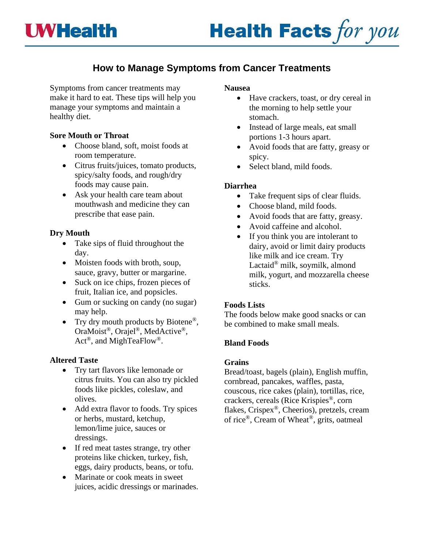

# **How to Manage Symptoms from Cancer Treatments**

Symptoms from cancer treatments may make it hard to eat. These tips will help you manage your symptoms and maintain a healthy diet.

### **Sore Mouth or Throat**

- Choose bland, soft, moist foods at room temperature.
- Citrus fruits/juices, tomato products, spicy/salty foods, and rough/dry foods may cause pain.
- Ask your health care team about mouthwash and medicine they can prescribe that ease pain.

# **Dry Mouth**

- Take sips of fluid throughout the day.
- Moisten foods with broth, soup, sauce, gravy, butter or margarine.
- Suck on ice chips, frozen pieces of fruit, Italian ice, and popsicles.
- Gum or sucking on candy (no sugar) may help.
- Try dry mouth products by Biotene<sup>®</sup>, OraMoist®, Orajel®, MedActive®, Act<sup>®</sup>, and MighTeaFlow<sup>®</sup>.

# **Altered Taste**

- Try tart flavors like lemonade or citrus fruits. You can also try pickled foods like pickles, coleslaw, and olives.
- Add extra flavor to foods. Try spices or herbs, mustard, ketchup, lemon/lime juice, sauces or dressings.
- If red meat tastes strange, try other proteins like chicken, turkey, fish, eggs, dairy products, beans, or tofu.
- Marinate or cook meats in sweet juices, acidic dressings or marinades.

### **Nausea**

- Have crackers, toast, or dry cereal in the morning to help settle your stomach.
- Instead of large meals, eat small portions 1-3 hours apart.
- Avoid foods that are fatty, greasy or spicy.
- Select bland, mild foods.

# **Diarrhea**

- Take frequent sips of clear fluids.
- Choose bland, mild foods.
- Avoid foods that are fatty, greasy.
- Avoid caffeine and alcohol.
- If you think you are intolerant to dairy, avoid or limit dairy products like milk and ice cream. Try Lactaid® milk, soymilk, almond milk, yogurt, and mozzarella cheese sticks.

# **Foods Lists**

The foods below make good snacks or can be combined to make small meals.

# **Bland Foods**

### **Grains**

Bread/toast, bagels (plain), English muffin, cornbread, pancakes, waffles, pasta, couscous, rice cakes (plain), tortillas, rice, crackers, cereals (Rice Krispies®, corn flakes, Crispex®, Cheerios), pretzels, cream of rice®, Cream of Wheat®, grits, oatmeal